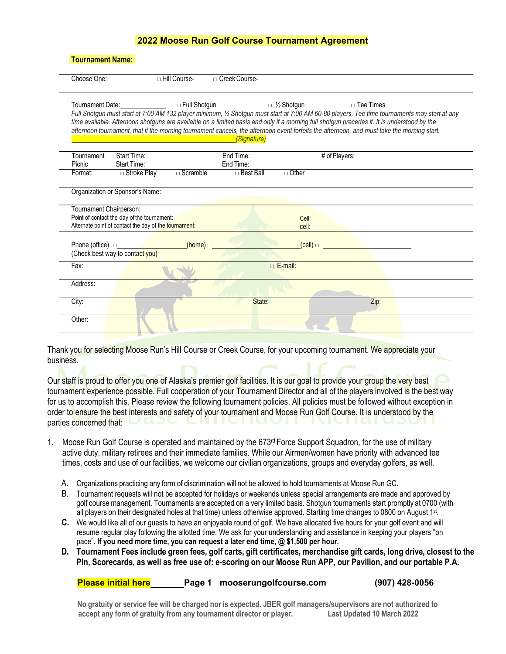| Choose One:             |                                                                                                      | $\sqcap$ Hill Course- | □ Creek Course-  |                    |                                                                                                                                                                                                                                                                                                                                                                                                                                                                |  |
|-------------------------|------------------------------------------------------------------------------------------------------|-----------------------|------------------|--------------------|----------------------------------------------------------------------------------------------------------------------------------------------------------------------------------------------------------------------------------------------------------------------------------------------------------------------------------------------------------------------------------------------------------------------------------------------------------------|--|
|                         | Tournament Date:                                                                                     | □ Full Shotgun        | (Signature)      | $\Box$ 1/2 Shotgun | $\Box$ Tee Times<br>Full Shotgun must start at 7:00 AM 132 player minimum, 1/2 Shotgun must start at 7:00 AM 60-80 players. Tee time tournaments may start at any<br>time available. Afternoon shotguns are available on a limited basis and only if a morning full shotgun precedes it. It is understood by the<br>afternoon tournament, that if the morning tournament cancels, the afternoon event forfeits the afternoon, and must take the morning start. |  |
| Tournament              | <b>Start Time:</b>                                                                                   |                       | End Time:        |                    | # of Players:                                                                                                                                                                                                                                                                                                                                                                                                                                                  |  |
| Picnic                  | Start Time:                                                                                          |                       | End Time:        |                    |                                                                                                                                                                                                                                                                                                                                                                                                                                                                |  |
| Format:                 | □ Stroke Play                                                                                        | $\sqcap$ Scramble     | $\Box$ Best Ball | $\sqcap$ Other     |                                                                                                                                                                                                                                                                                                                                                                                                                                                                |  |
| Tournament Chairperson: | Point of contact the day of the tournament:<br>Alternate point of contact the day of the tournament: |                       |                  | Cell:<br>cell:     |                                                                                                                                                                                                                                                                                                                                                                                                                                                                |  |
| Phone (office) $\Box$   | (Check best way to contact you)                                                                      | (home) $\Box$         |                  | $(cell)$ $\Box$    |                                                                                                                                                                                                                                                                                                                                                                                                                                                                |  |
| Fax:                    |                                                                                                      |                       |                  | $\Box$ E-mail:     |                                                                                                                                                                                                                                                                                                                                                                                                                                                                |  |
| Address:                |                                                                                                      |                       |                  |                    |                                                                                                                                                                                                                                                                                                                                                                                                                                                                |  |
| City:                   |                                                                                                      |                       | State:           |                    | Zip:                                                                                                                                                                                                                                                                                                                                                                                                                                                           |  |

Thank you for selecting Moose Run's Hill Course or Creek Course, for your upcoming tournament. We appreciate your business.

Our staff is proud to offer you one of Alaska's premier golf facilities. It is our goal to provide your group the very best tournament experience possible. Full cooperation of your Tournament Director and all of the players involved is the best way for us to accomplish this. Please review the following tournament policies. All policies must be followed without exception in order to ensure the best interests and safety of your tournament and Moose Run Golf Course. It is understood by the parties concerned that:  $\Box$  CLOU  $\Box$  III

- 1. Moose Run Golf Course is operated and maintained by the 673<sup>rd</sup> Force Support Squadron, for the use of military active duty, military retirees and their immediate families. While our Airmen/women have priority with advanced tee times, costs and use of our facilities, we welcome our civilian organizations, groups and everyday golfers, as well.
	- A. Organizations practicing any form of discrimination will not be allowed to hold tournaments at Moose Run GC.
	- B. Tournament requests will not be accepted for holidays or weekends unless special arrangements are made and approved by golf course management. Tournaments are accepted on a very limited basis. Shotgun tournaments start promptly at 0700 (with all players on their designated holes at that time) unless otherwise approved. Starting time changes to 0800 on August 1st.
	- **C.** We would like all of our guests to have an enjoyable round of golf. We have allocated five hours for your golf event and will resume regular play following the allotted time. We ask for your understanding and assistance in keeping your players "on pace". **If you need more time, you can request a later end time, @ \$1,500 per hour.**
	- **D. Tournament Fees include green fees, golf carts, gift certificates, merchandise gift cards, long drive, closest to the Pin, Scorecards, as well as free use of: e-scoring on our Moose Run APP, our Pavilion, and our portable P.A.**

| <b>Please initial here</b> | Page 1 mooserungolfcourse.com | $(907)$ 428-0056 |
|----------------------------|-------------------------------|------------------|
|                            |                               |                  |

No gratuity or service fee will be charged nor is expected. JBER golf managers/supervisors are not authorized to **accept any form of gratuity from any tournament director or player. Last Updated 10 March 2022**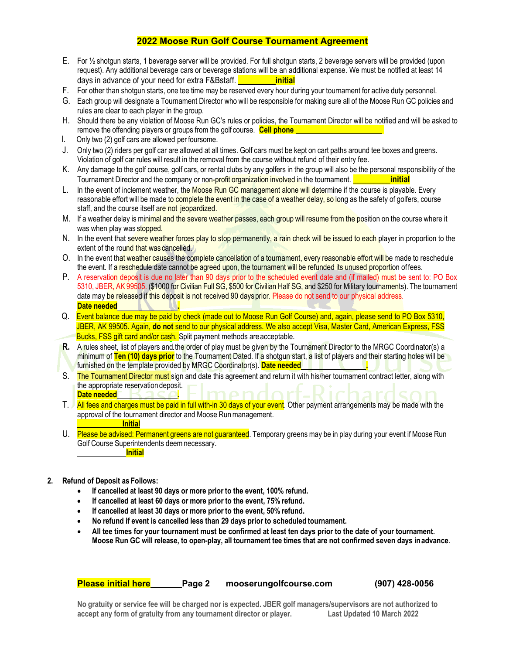- E. For ½ shotgun starts, 1 beverage server will be provided. For full shotgun starts, 2 beverage servers will be provided (upon request). Any additional beverage cars or beverage stations will be an additional expense. We must be notified at least 14 days in advance of your need for extra F&Bstaff. \_\_\_\_\_\_\_\_\_**initial**
- F. For other than shotgun starts, one tee time may be reserved every hour during your tournament for active duty personnel.
- G. Each group will designate a Tournament Director who will be responsible for making sure all of the Moose Run GC policies and rules are clear to each player in the group.
- H. Should there be any violation of Moose Run GC's rules or policies, the Tournament Director will be notified and will be asked to remove the offending players or groups from the golf course. **Cell phone**
- I. Only two (2) golf cars are allowed per foursome.
- J. Only two (2) riders per golf car are allowed at all times. Golf cars must be kept on cart paths around tee boxes and greens. Violation of golf car rules will result in the removal from the course without refund of their entry fee.
- K. Any damage to the golf course, golf cars, or rental clubs by any golfers in the group will also be the personal responsibility of the Tournament Director and the company or non-profit organization involved in the tournament. **\_\_\_\_\_\_\_\_\_\_\_\_\_\_\_initial**
- L. In the event of inclement weather, the Moose Run GC management alone will determine if the course is playable. Every reasonable effort will be made to complete the event in the case of a weather delay, so long as the safety of golfers, course staff, and the course itself are not jeopardized.
- M. If a weather delay is minimal and the severe weather passes, each group will resume from the position on the course where it was when play was stopped.
- N. In the event that severe weather forces play to stop permanently, a rain check will be issued to each player in proportion to the extent of the round that was cancelled.
- O. In the event that weather causes the complete cancellation of a tournament, every reasonable effort will be made to reschedule the event. If a reschedule date cannot be agreed upon, the tournament will be refunded its unused proportion of fees.
- P. A reservation deposit is due no later than 90 days prior to the scheduled event date and (if mailed) must be sent to: PO Box 5310, JBER, AK 99505. (\$1000 for Civilian Full SG, \$500 for Civilian Half SG, and \$250 for Military tournaments). The tournament date may be released if this deposit is not received 90 days prior. Please do not send to our physical address. **Date needed .**
- Q. Event balance due may be paid by check (made out to Moose Run Golf Course) and, again, please send to PO Box 5310, JBER, AK 99505. Again, **do not** send to our physical address. We also accept Visa, Master Card, American Express, FSS Bucks, FSS gift card and/or cash. Split payment methods are acceptable.
- **R.** A rules sheet, list of players and the order of play must be given by the Tournament Director to the MRGC Coordinator(s) a minimum of **Ten (10) days prior** to the Tournament Dated. If a shotgun start, a list of players and their starting holes will be furnished on the template provided by MRGC Coordinator(s). **Date needed .**
- S. The Tournament Director must sign and date this agreement and return it with his/her tournament contract letter, along with the appropriate reservation deposit. **Date needed .**
- T. All fees and charges must be paid in full with-in 30 days of your event. Other payment arrangements may be made with the approval of the tournament director and Moose Runmanagement. **Initial**
- U. Please be advised: Permanent greens are not guaranteed. Temporary greens may be in play during your event if Moose Run Golf Course Superintendents deemnecessary. **Initial**
- **2. Refund of Deposit as Follows:** 
	- **If cancelled at least 90 days or more prior to the event, 100% refund.**
	- **If cancelled at least 60 days or more prior to the event, 75% refund.**
	- **If cancelled at least 30 days or more prior to the event, 50% refund.**
	- **No refund if event is cancelled less than 29 days prior to scheduled tournament.**
	- **All tee times for your tournament must be confirmed at least ten days prior to the date of your tournament. Moose Run GC will release, to open-play, all tournament tee times that are not confirmed seven days in advance**.

**Please initial here Page 2 mooserungolfcourse.com (907) 428-0056**

No gratuity or service fee will be charged nor is expected. JBER golf managers/supervisors are not authorized to<br>accept any form of gratuity from any tournament director or player. Last Updated 10 March 2022 **accept any form of gratuity from any tournament director or player.**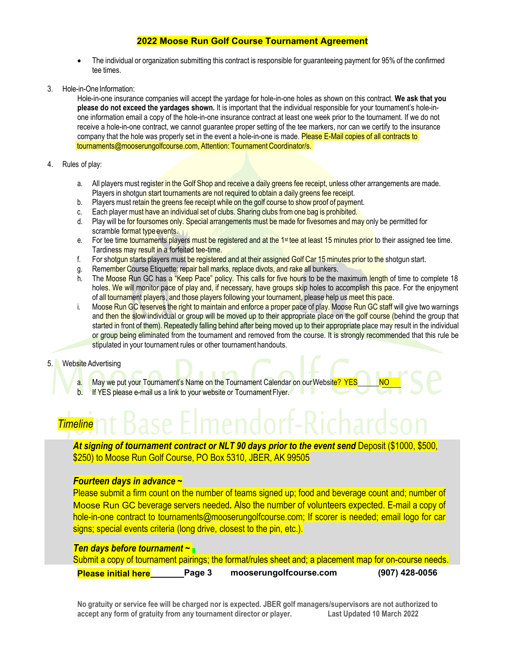- The individual or organization submitting this contract is responsible for guaranteeing payment for 95% of the confirmed tee times.
- 3. Hole-in-One Information:

Hole-in-one insurance companies will accept the yardage for hole-in-one holes as shown on this contract. **We ask that you please do not exceed the yardages shown.** It is important that the individual responsible for your tournament's hole-inone information email a copy of the hole-in-one insurance contract at least one week prior to the tournament. If we do not receive a hole-in-one contract, we cannot guarantee proper setting of the tee markers, nor can we certify to the insurance company that the hole was properly set in the event a hole-in-one is made. Please E-Mail copies of all contracts to tournaments@mooserungolfcourse.com, Attention: Tournament Coordinator/s.

- 4. Rules of play:
	- a. All players must register in the Golf Shop and receive a daily greens fee receipt, unless other arrangements are made. Players in shotgun start tournaments are not required to obtain a daily greens fee receipt.
	- b. Players must retain the greens fee receipt while on the golf course to show proof of payment.
	- c. Each player must have an individual set of clubs. Sharing clubs from one bag is prohibited.<br>d. Play will be for foursomes only. Special arrangements must be made for fivesomes and ma
	- Play will be for foursomes only. Special arrangements must be made for fivesomes and may only be permitted for scramble format type events.
	- e. For tee time tournaments players must be registered and at the 1<sup>st</sup> tee at least 15 minutes prior to their assigned tee time. Tardiness may result in a forfeited tee-time.
	- f. For shotgun starts players must be registered and at their assigned Golf Car 15 minutes prior to the shotgun start.
	- g. Remember Course Etiquette: repair ball marks, replace divots, and rake all bunkers.
	- h. The Moose Run GC has a "Keep Pace" policy. This calls for five hours to be the maximum length of time to complete 18 holes. We will monitor pace of play and, if necessary, have groups skip holes to accomplish this pace. For the enjoyment of all tournament players, and those players following your tournament, please help us meet this pace.
	- i. Moose Run GC reserves the right to maintain and enforce a proper pace of play. Moose Run GC staff will give two warnings and then the slow individual or group will be moved up to their appropriate place on the golf course (behind the group that started in front of them). Repeatedly falling behind after being moved up to their appropriate place may result in the individual or group being eliminated from the tournament and removed from the course. It is strongly recommended that this rule be stipulated in your tournament rules or other tournament handouts.

#### 5. Website Advertising

- a. May we put your Tournament's Name on the Tournament Calendar on our Website? YES NO
- b. If YES please e-mail us a link to your website or Tournament Flyer.

# *Timeline*

*At signing of tournament contract or NLT 90 days prior to the event send* Deposit (\$1000, \$500, \$250) to Moose Run Golf Course, PO Box 5310, JBER, AK 99505

#### *Fourteen days in advance* **~**

Please submit a firm count on the number of teams signed up; food and beverage count and; number of Moose Run GC beverage servers needed*.* Also the number of volunteers expected. E-mail a copy of hole-in-one contract to tournaments@mooserungolfcourse.com; If scorer is needed; email logo for car signs; special events criteria (long drive, closest to the pin, etc.).

# *Ten days before tournament* **~**

|                            |        | Submit a copy of tournament pairings; the format/rules sheet and; a placement map for on-course needs. |                  |
|----------------------------|--------|--------------------------------------------------------------------------------------------------------|------------------|
| <b>Please initial here</b> | Page 3 | mooserungolfcourse.com                                                                                 | $(907)$ 428-0056 |

No gratuity or service fee will be charged nor is expected. JBER golf managers/supervisors are not authorized to<br>accept any form of gratuity from any tournament director or player. Last Updated 10 March 2022 **accept any form of gratuity from any tournament director or player.**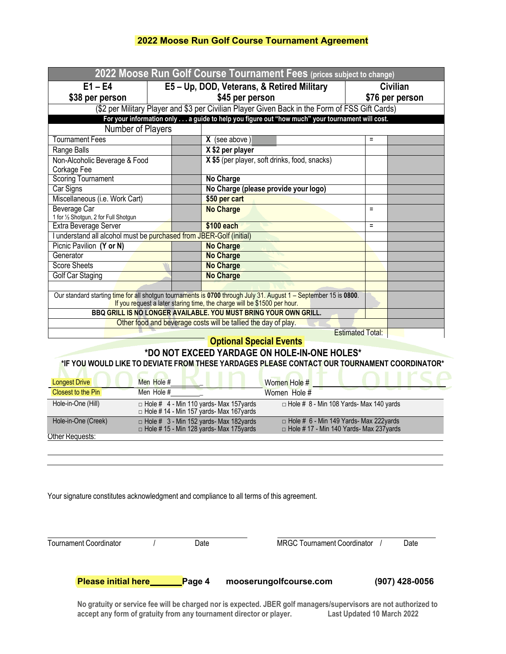| 2022 Moose Run Golf Course Tournament Fees (prices subject to change) |  |                                                                                                                                                                                              |                 |  |  |  |
|-----------------------------------------------------------------------|--|----------------------------------------------------------------------------------------------------------------------------------------------------------------------------------------------|-----------------|--|--|--|
| $E1 - E4$                                                             |  | E5 - Up, DOD, Veterans, & Retired Military                                                                                                                                                   | Civilian        |  |  |  |
| \$38 per person                                                       |  | \$45 per person                                                                                                                                                                              | \$76 per person |  |  |  |
|                                                                       |  | (\$2 per Military Player and \$3 per Civilian Player Given Back in the Form of FSS Gift Cards)                                                                                               |                 |  |  |  |
|                                                                       |  | For your information only a guide to help you figure out "how much" your tournament will cost.                                                                                               |                 |  |  |  |
| Number of Players                                                     |  |                                                                                                                                                                                              |                 |  |  |  |
| <b>Tournament Fees</b>                                                |  | $X$ (see above)                                                                                                                                                                              | $=$             |  |  |  |
| Range Balls                                                           |  | X \$2 per player                                                                                                                                                                             |                 |  |  |  |
| Non-Alcoholic Beverage & Food<br>Corkage Fee                          |  | X \$5 (per player, soft drinks, food, snacks)                                                                                                                                                |                 |  |  |  |
| <b>Scoring Tournament</b>                                             |  | No Charge                                                                                                                                                                                    |                 |  |  |  |
| Car Signs                                                             |  | No Charge (please provide your logo)                                                                                                                                                         |                 |  |  |  |
| Miscellaneous (i.e. Work Cart)                                        |  | \$50 per cart                                                                                                                                                                                |                 |  |  |  |
| Beverage Car<br>1 for 1/2 Shotgun, 2 for Full Shotgun                 |  | <b>No Charge</b>                                                                                                                                                                             | $=$             |  |  |  |
| Extra Beverage Server                                                 |  | \$100 each                                                                                                                                                                                   | $=$             |  |  |  |
| I understand all alcohol must be purchased from JBER-Golf (initial)   |  |                                                                                                                                                                                              |                 |  |  |  |
| Picnic Pavilion (Y or N)                                              |  | <b>No Charge</b>                                                                                                                                                                             |                 |  |  |  |
| Generator                                                             |  | <b>No Charge</b>                                                                                                                                                                             |                 |  |  |  |
| <b>Score Sheets</b>                                                   |  | <b>No Charge</b>                                                                                                                                                                             |                 |  |  |  |
| <b>Golf Car Staging</b>                                               |  | <b>No Charge</b>                                                                                                                                                                             |                 |  |  |  |
|                                                                       |  |                                                                                                                                                                                              |                 |  |  |  |
|                                                                       |  | Our standard starting time for all shotgun tournaments is 0700 through July 31. August 1 – September 15 is 0800.<br>If you request a later staring time, the charge will be \$1500 per hour. |                 |  |  |  |
|                                                                       |  | BBQ GRILL IS NO LONGER AVAILABLE. YOU MUST BRING YOUR OWN GRILL.                                                                                                                             |                 |  |  |  |
|                                                                       |  | Other food and beverage costs will be tallied the day of play.                                                                                                                               |                 |  |  |  |
| <b>Estimated Total:</b>                                               |  |                                                                                                                                                                                              |                 |  |  |  |
|                                                                       |  | <b>Optional Special Events</b>                                                                                                                                                               |                 |  |  |  |
|                                                                       |  | *DO NOT EXCEED YARDAGE ON HOLE-IN-ONE HOLES*                                                                                                                                                 |                 |  |  |  |
|                                                                       |  | *IF YOU WOULD LIKE TO DEVIATE FROM THESE YARDAGES PLEASE CONTACT OUR TOURNAMENT COORDINATOR*                                                                                                 |                 |  |  |  |

| <b>Longest Drive</b><br>Closest to the Pin | Men Hole #<br>Men Hole #                                                                          | Women Hole #<br>Women Hole $#$                                                                  |
|--------------------------------------------|---------------------------------------------------------------------------------------------------|-------------------------------------------------------------------------------------------------|
| Hole-in-One (Hill)                         | $\Box$ Hole # 4 - Min 110 yards- Max 157 yards<br>$\Box$ Hole # 14 - Min 157 yards- Max 167 yards | $\Box$ Hole # 8 - Min 108 Yards- Max 140 yards                                                  |
| Hole-in-One (Creek)                        | $\Box$ Hole # 3 - Min 152 yards- Max 182yards<br>□ Hole # 15 - Min 128 yards- Max 175yards        | $\Box$ Hole # 6 - Min 149 Yards- Max 222yards<br>$\Box$ Hole #17 - Min 140 Yards- Max 237 yards |
| Other Requests:                            |                                                                                                   |                                                                                                 |

Your signature constitutes acknowledgment and compliance to all terms of this agreement.

| Tournament Coordinator     | Date   | <b>MRGC Tournament Coordinator</b> | Date           |
|----------------------------|--------|------------------------------------|----------------|
| <b>Please initial here</b> | Page 4 | mooserungolfcourse.com             | (907) 428-0056 |

No gratuity or service fee will be charged nor is expected. JBER golf managers/supervisors are not authorized to accept any form of gratuity from any tournament director or player. Last Updated 10 March 2022 **accept any form of gratuity from any tournament director or player.**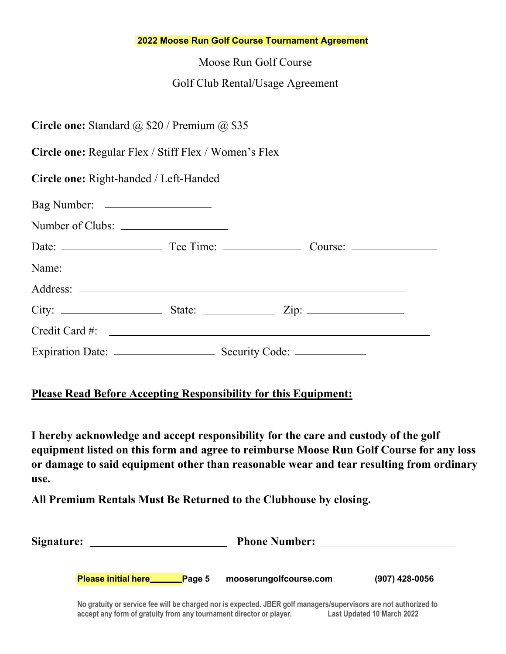Moose Run Golf Course

# Golf Club Rental/Usage Agreement

| <b>Circle one:</b> Standard $@$ \$20 / Premium $@$ \$35 |  |  |
|---------------------------------------------------------|--|--|
|---------------------------------------------------------|--|--|

**Circle one:** Regular Flex / Stiff Flex / Women's Flex

**Circle one:** Right-handed / Left-Handed

| Credit Card #: |  |  |
|----------------|--|--|
|                |  |  |

# **Please Read Before Accepting Responsibility for this Equipment:**

**I hereby acknowledge and accept responsibility for the care and custody of the golf equipment listed on this form and agree to reimburse Moose Run Golf Course for any loss or damage to said equipment other than reasonable wear and tear resulting from ordinary use.**

**All Premium Rentals Must Be Returned to the Clubhouse by closing.**

| Signature: |                                                                                                                  | <b>Phone Number:</b>   |                |  |  |  |  |
|------------|------------------------------------------------------------------------------------------------------------------|------------------------|----------------|--|--|--|--|
|            | <b>Please initial here_</b><br>Page 5                                                                            | mooserungolfcourse.com | (907) 428-0056 |  |  |  |  |
|            | No gratuity or service fee will be charged nor is expected. JBER golf managers/supervisors are not authorized to |                        |                |  |  |  |  |

**accept any form of gratuity from any tournament director or player. Last Updated 10 March 2022**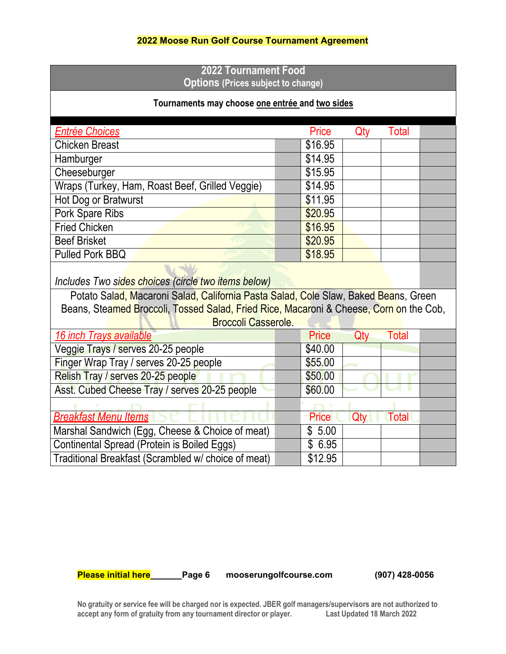# **2022 Tournament Food Options (Prices subject to change)**

# **Tournaments may choose one entrée and two sides**

| <b>Entrée Choices</b>                           | Price   | Qty | <b>Total</b> |  |
|-------------------------------------------------|---------|-----|--------------|--|
| <b>Chicken Breast</b>                           | \$16.95 |     |              |  |
| Hamburger                                       | \$14.95 |     |              |  |
| Cheeseburger                                    | \$15.95 |     |              |  |
| Wraps (Turkey, Ham, Roast Beef, Grilled Veggie) | \$14.95 |     |              |  |
| Hot Dog or Bratwurst                            | \$11.95 |     |              |  |
| Pork Spare Ribs                                 | \$20.95 |     |              |  |
| <b>Fried Chicken</b>                            | \$16.95 |     |              |  |
| <b>Beef Brisket</b>                             | \$20.95 |     |              |  |
| <b>Pulled Pork BBQ</b>                          | \$18.95 |     |              |  |
|                                                 |         |     |              |  |

*Includes Two sides choices (circle two items below)*

Potato Salad, Macaroni Salad, California Pasta Salad, Cole Slaw, Baked Beans, Green Beans, Steamed Broccoli, Tossed Salad, Fried Rice, Macaroni & Cheese, Corn on the Cob, Broccoli Casserole.

| 16 inch Trays available                             | Price<br>Qty<br>Total        |
|-----------------------------------------------------|------------------------------|
| Veggie Trays / serves 20-25 people                  | \$40.00                      |
| Finger Wrap Tray / serves 20-25 people              | \$55.00                      |
| Relish Tray / serves 20-25 people                   | \$50.00                      |
| Asst. Cubed Cheese Tray / serves 20-25 people       | \$60.00                      |
|                                                     |                              |
| <b>Breakfast Menu Items</b>                         | Price<br><b>Total</b><br>Qty |
| Marshal Sandwich (Egg, Cheese & Choice of meat)     | \$5.00                       |
| Continental Spread (Protein is Boiled Eggs)         | \$6.95                       |
| Traditional Breakfast (Scrambled w/ choice of meat) | \$12.95                      |

**Please initial here Page 6 mooserungolfcourse.com (907) 428-0056**

No gratuity or service fee will be charged nor is expected. JBER golf managers/supervisors are not authorized to<br>accept any form of gratuity from any tournament director or player. Last Updated 18 March 2022 **accept any form of gratuity from any tournament director or player.**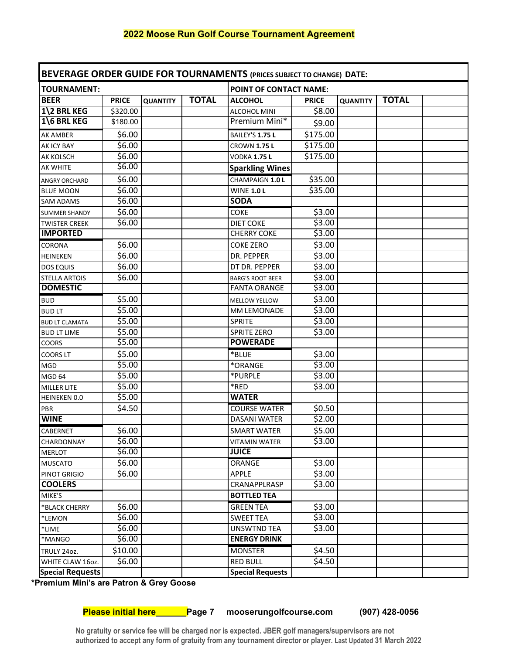| BEVERAGE ORDER GUIDE FOR TOURNAMENTS (PRICES SUBJECT TO CHANGE) DATE: |              |                 |              |                               |                    |                 |              |  |
|-----------------------------------------------------------------------|--------------|-----------------|--------------|-------------------------------|--------------------|-----------------|--------------|--|
| <b>TOURNAMENT:</b>                                                    |              |                 |              | <b>POINT OF CONTACT NAME:</b> |                    |                 |              |  |
| <b>BEER</b>                                                           | <b>PRICE</b> | <b>QUANTITY</b> | <b>TOTAL</b> | <b>ALCOHOL</b>                | <b>PRICE</b>       | <b>QUANTITY</b> | <b>TOTAL</b> |  |
| 1\2 BRL KEG                                                           | \$320.00     |                 |              | ALCOHOL MINI                  | \$8.00             |                 |              |  |
| 1\6 BRL KEG                                                           | \$180.00     |                 |              | Premium Mini*                 | \$9.00             |                 |              |  |
| AK AMBER                                                              | \$6.00       |                 |              | BAILEY'S 1.75 L               | \$175.00           |                 |              |  |
| AK ICY BAY                                                            | \$6.00       |                 |              | <b>CROWN 1.75 L</b>           | \$175.00           |                 |              |  |
| AK KOLSCH                                                             | \$6.00       |                 |              | VODKA 1.75 L                  | \$175.00           |                 |              |  |
| AK WHITE                                                              | \$6.00       |                 |              | <b>Sparkling Wines</b>        |                    |                 |              |  |
| ANGRY ORCHARD                                                         | \$6.00       |                 |              | CHAMPAIGN 1.0 L               | \$35.00            |                 |              |  |
| <b>BLUE MOON</b>                                                      | \$6.00       |                 |              | <b>WINE 1.0 L</b>             | \$35.00            |                 |              |  |
| <b>SAM ADAMS</b>                                                      | \$6.00       |                 |              | <b>SODA</b>                   |                    |                 |              |  |
| <b>SUMMER SHANDY</b>                                                  | \$6.00       |                 |              | <b>COKE</b>                   | \$3.00             |                 |              |  |
| <b>TWISTER CREEK</b>                                                  | \$6.00       |                 |              | <b>DIET COKE</b>              | \$3.00             |                 |              |  |
| <b>IMPORTED</b>                                                       |              |                 |              | <b>CHERRY COKE</b>            | \$3.00             |                 |              |  |
| CORONA                                                                | \$6.00       |                 |              | <b>COKE ZERO</b>              | \$3.00             |                 |              |  |
| HEINEKEN                                                              | \$6.00       |                 |              | DR. PEPPER                    | \$3.00             |                 |              |  |
| <b>DOS EQUIS</b>                                                      | \$6.00       |                 |              | DT DR. PEPPER                 | $\overline{$}3.00$ |                 |              |  |
| <b>STELLA ARTOIS</b>                                                  | 56.00        |                 |              | <b>BARG'S ROOT BEER</b>       | \$3.00             |                 |              |  |
| <b>DOMESTIC</b>                                                       |              |                 |              | <b>FANTA ORANGE</b>           | \$3.00             |                 |              |  |
| <b>BUD</b>                                                            | \$5.00       |                 |              | <b>MELLOW YELLOW</b>          | \$3.00             |                 |              |  |
| <b>BUDLT</b>                                                          | \$5.00       |                 |              | MM LEMONADE                   | \$3.00             |                 |              |  |
| <b>BUD LT CLAMATA</b>                                                 | \$5.00       |                 |              | <b>SPRITE</b>                 | \$3.00             |                 |              |  |
| <b>BUD LT LIME</b>                                                    | \$5.00       |                 |              | <b>SPRITE ZERO</b>            | \$3.00             |                 |              |  |
| COORS                                                                 | \$5.00       |                 |              | <b>POWERADE</b>               |                    |                 |              |  |
| <b>COORS LT</b>                                                       | \$5.00       |                 |              | *BLUE                         | \$3.00             |                 |              |  |
| <b>MGD</b>                                                            | \$5.00       |                 |              | *ORANGE                       | \$3.00             |                 |              |  |
| MGD <sub>64</sub>                                                     | \$5.00       |                 |              | *PURPLE                       | 53.00              |                 |              |  |
| <b>MILLER LITE</b>                                                    | \$5.00       |                 |              | *RED                          | \$3.00             |                 |              |  |
| HEINEKEN 0.0                                                          | \$5.00       |                 |              | <b>WATER</b>                  |                    |                 |              |  |
| PBR                                                                   | \$4.50       |                 |              | <b>COURSE WATER</b>           | \$0.50             |                 |              |  |
| <b>WINE</b>                                                           |              |                 |              | <b>DASANI WATER</b>           | \$2.00             |                 |              |  |
| CABERNET                                                              | \$6.00       |                 |              | <b>SMART WATER</b>            | \$5.00             |                 |              |  |
| CHARDONNAY                                                            | \$6.00       |                 |              | <b>VITAMIN WATER</b>          | \$3.00             |                 |              |  |
| <b>MERLOT</b>                                                         | \$6.00       |                 |              | <b>JUICE</b>                  |                    |                 |              |  |
| <b>MUSCATO</b>                                                        | \$6.00       |                 |              | ORANGE                        | \$3.00             |                 |              |  |
| PINOT GRIGIO                                                          | \$6.00       |                 |              | <b>APPLE</b>                  | \$3.00             |                 |              |  |
| <b>COOLERS</b>                                                        |              |                 |              | CRANAPPLRASP                  | \$3.00             |                 |              |  |
| MIKE'S                                                                |              |                 |              | <b>BOTTLED TEA</b>            |                    |                 |              |  |
| *BLACK CHERRY                                                         | \$6.00       |                 |              | <b>GREEN TEA</b>              | \$3.00             |                 |              |  |
| *LEMON                                                                | \$6.00       |                 |              | <b>SWEET TEA</b>              | \$3.00             |                 |              |  |
| *LIME                                                                 | \$6.00       |                 |              | <b>UNSWTND TEA</b>            | \$3.00             |                 |              |  |
| *MANGO                                                                | \$6.00       |                 |              | <b>ENERGY DRINK</b>           |                    |                 |              |  |
| TRULY 24oz.                                                           | \$10.00      |                 |              | <b>MONSTER</b>                | \$4.50             |                 |              |  |
| WHITE CLAW 16oz.                                                      | \$6.00       |                 |              | <b>RED BULL</b>               | \$4.50             |                 |              |  |
| <b>Special Requests</b>                                               |              |                 |              | <b>Special Requests</b>       |                    |                 |              |  |

**\*Premium Mini's are Patron & Grey Goose**

**Please initial here Page 7 mooserungolfcourse.com (907) 428-0056**

**No gratuity or service fee will be charged nor is expected. JBER golf managers/supervisors are not authorized to accept any form of gratuity from any tournament director or player. Last Updated 31 March 2022**